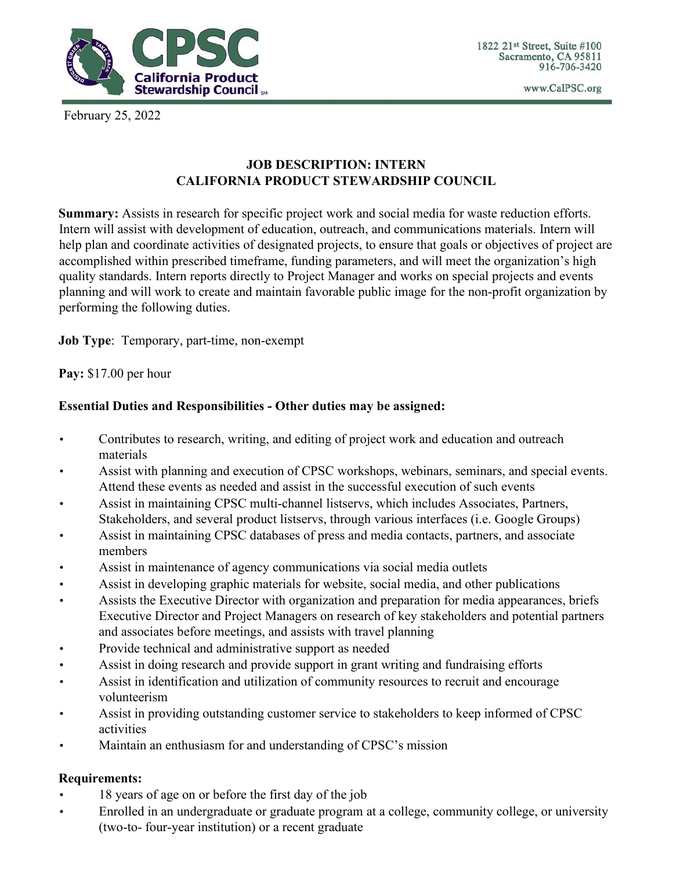

1822 21st Street, Suite #100 Sacramento, CA 95811 916-706-3420

www.CalPSC.org

February 25, 2022

## **JOB DESCRIPTION: INTERN CALIFORNIA PRODUCT STEWARDSHIP COUNCIL**

**Summary:** Assists in research for specific project work and social media for waste reduction efforts. Intern will assist with development of education, outreach, and communications materials. Intern will help plan and coordinate activities of designated projects, to ensure that goals or objectives of project are accomplished within prescribed timeframe, funding parameters, and will meet the organization's high quality standards. Intern reports directly to Project Manager and works on special projects and events planning and will work to create and maintain favorable public image for the non-profit organization by performing the following duties.

**Job Type**: Temporary, part-time, non-exempt

**Pay:** \$17.00 per hour

## **Essential Duties and Responsibilities - Other duties may be assigned:**

- Contributes to research, writing, and editing of project work and education and outreach materials
- Assist with planning and execution of CPSC workshops, webinars, seminars, and special events. Attend these events as needed and assist in the successful execution of such events
- Assist in maintaining CPSC multi-channel listservs, which includes Associates, Partners, Stakeholders, and several product listservs, through various interfaces (i.e. Google Groups)
- Assist in maintaining CPSC databases of press and media contacts, partners, and associate members
- Assist in maintenance of agency communications via social media outlets
- Assist in developing graphic materials for website, social media, and other publications
- Assists the Executive Director with organization and preparation for media appearances, briefs Executive Director and Project Managers on research of key stakeholders and potential partners and associates before meetings, and assists with travel planning
- Provide technical and administrative support as needed
- Assist in doing research and provide support in grant writing and fundraising efforts
- Assist in identification and utilization of community resources to recruit and encourage volunteerism
- Assist in providing outstanding customer service to stakeholders to keep informed of CPSC activities
- Maintain an enthusiasm for and understanding of CPSC's mission

## **Requirements:**

- 18 years of age on or before the first day of the job
- Enrolled in an undergraduate or graduate program at a college, community college, or university (two-to- four-year institution) or a recent graduate